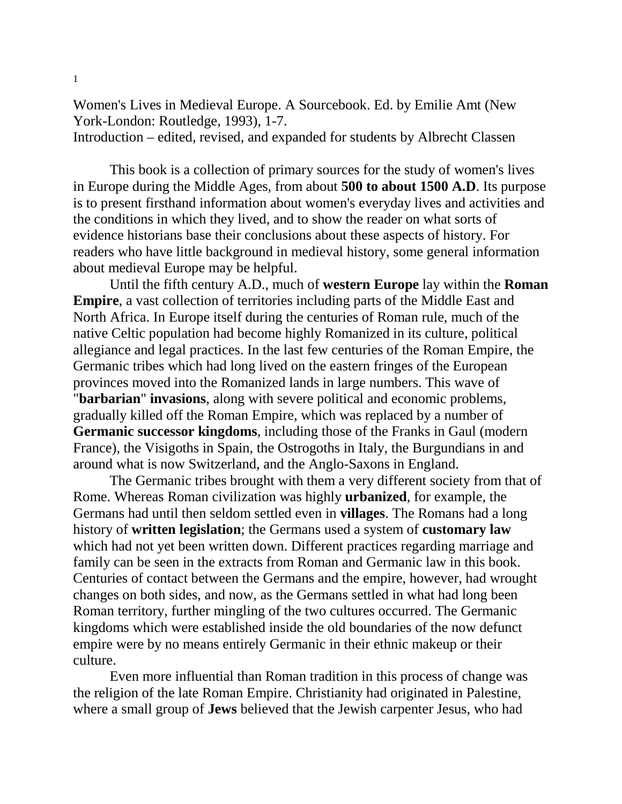Women's Lives in Medieval Europe. A Sourcebook. Ed. by Emilie Amt (New York-London: Routledge, 1993), 1-7.

Introduction – edited, revised, and expanded for students by Albrecht Classen

This book is a collection of primary sources for the study of women's lives in Europe during the Middle Ages, from about **500 to about 1500 A.D**. Its purpose is to present firsthand information about women's everyday lives and activities and the conditions in which they lived, and to show the reader on what sorts of evidence historians base their conclusions about these aspects of history. For readers who have little background in medieval history, some general information about medieval Europe may be helpful.

Until the fifth century A.D., much of **western Europe** lay within the **Roman Empire**, a vast collection of territories including parts of the Middle East and North Africa. In Europe itself during the centuries of Roman rule, much of the native Celtic population had become highly Romanized in its culture, political allegiance and legal practices. In the last few centuries of the Roman Empire, the Germanic tribes which had long lived on the eastern fringes of the European provinces moved into the Romanized lands in large numbers. This wave of "**barbarian**" **invasions**, along with severe political and economic problems, gradually killed off the Roman Empire, which was replaced by a number of **Germanic successor kingdoms**, including those of the Franks in Gaul (modern France), the Visigoths in Spain, the Ostrogoths in Italy, the Burgundians in and around what is now Switzerland, and the Anglo-Saxons in England.

The Germanic tribes brought with them a very different society from that of Rome. Whereas Roman civilization was highly **urbanized**, for example, the Germans had until then seldom settled even in **villages**. The Romans had a long history of **written legislation**; the Germans used a system of **customary law** which had not yet been written down. Different practices regarding marriage and family can be seen in the extracts from Roman and Germanic law in this book. Centuries of contact between the Germans and the empire, however, had wrought changes on both sides, and now, as the Germans settled in what had long been Roman territory, further mingling of the two cultures occurred. The Germanic kingdoms which were established inside the old boundaries of the now defunct empire were by no means entirely Germanic in their ethnic makeup or their culture.

Even more influential than Roman tradition in this process of change was the religion of the late Roman Empire. Christianity had originated in Palestine, where a small group of **Jews** believed that the Jewish carpenter Jesus, who had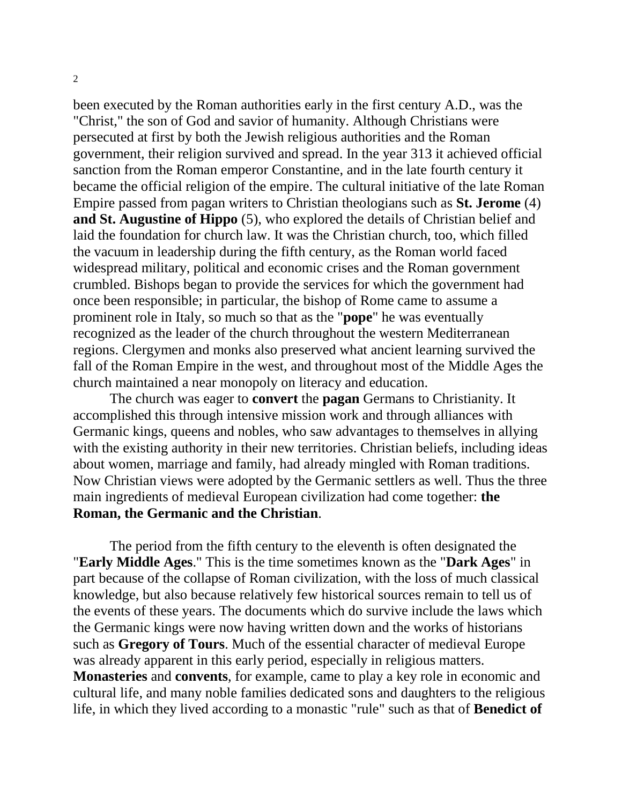been executed by the Roman authorities early in the first century A.D., was the "Christ," the son of God and savior of humanity. Although Christians were persecuted at first by both the Jewish religious authorities and the Roman government, their religion survived and spread. In the year 313 it achieved official sanction from the Roman emperor Constantine, and in the late fourth century it became the official religion of the empire. The cultural initiative of the late Roman Empire passed from pagan writers to Christian theologians such as **St. Jerome** (4) **and St. Augustine of Hippo** (5), who explored the details of Christian belief and laid the foundation for church law. It was the Christian church, too, which filled the vacuum in leadership during the fifth century, as the Roman world faced widespread military, political and economic crises and the Roman government crumbled. Bishops began to provide the services for which the government had once been responsible; in particular, the bishop of Rome came to assume a prominent role in Italy, so much so that as the "**pope**" he was eventually recognized as the leader of the church throughout the western Mediterranean regions. Clergymen and monks also preserved what ancient learning survived the fall of the Roman Empire in the west, and throughout most of the Middle Ages the church maintained a near monopoly on literacy and education.

The church was eager to **convert** the **pagan** Germans to Christianity. It accomplished this through intensive mission work and through alliances with Germanic kings, queens and nobles, who saw advantages to themselves in allying with the existing authority in their new territories. Christian beliefs, including ideas about women, marriage and family, had already mingled with Roman traditions. Now Christian views were adopted by the Germanic settlers as well. Thus the three main ingredients of medieval European civilization had come together: **the Roman, the Germanic and the Christian**.

The period from the fifth century to the eleventh is often designated the "**Early Middle Ages**." This is the time sometimes known as the "**Dark Ages**" in part because of the collapse of Roman civilization, with the loss of much classical knowledge, but also because relatively few historical sources remain to tell us of the events of these years. The documents which do survive include the laws which the Germanic kings were now having written down and the works of historians such as **Gregory of Tours**. Much of the essential character of medieval Europe was already apparent in this early period, especially in religious matters. **Monasteries** and **convents**, for example, came to play a key role in economic and cultural life, and many noble families dedicated sons and daughters to the religious life, in which they lived according to a monastic "rule" such as that of **Benedict of**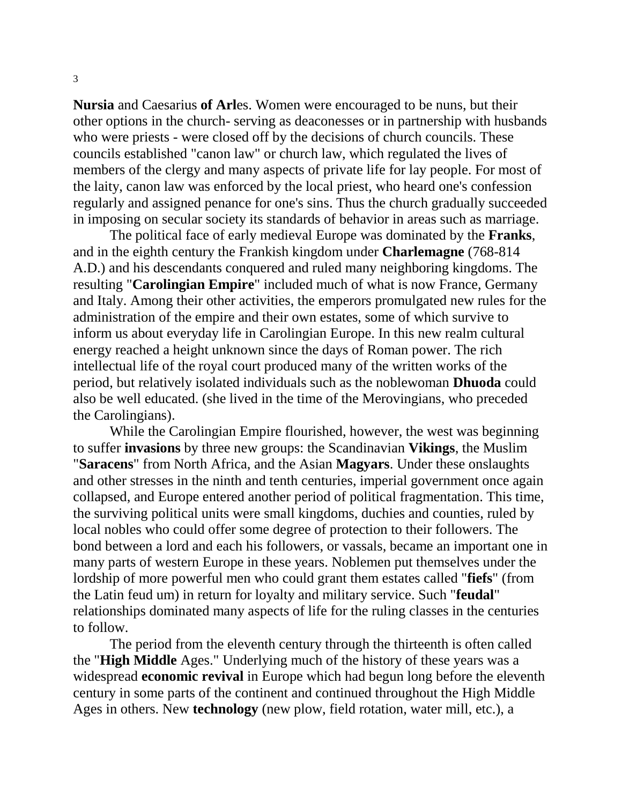**Nursia** and Caesarius **of Arl**es. Women were encouraged to be nuns, but their other options in the church- serving as deaconesses or in partnership with husbands who were priests - were closed off by the decisions of church councils. These councils established "canon law" or church law, which regulated the lives of members of the clergy and many aspects of private life for lay people. For most of the laity, canon law was enforced by the local priest, who heard one's confession regularly and assigned penance for one's sins. Thus the church gradually succeeded in imposing on secular society its standards of behavior in areas such as marriage.

The political face of early medieval Europe was dominated by the **Franks**, and in the eighth century the Frankish kingdom under **Charlemagne** (768-814 A.D.) and his descendants conquered and ruled many neighboring kingdoms. The resulting "**Carolingian Empire**" included much of what is now France, Germany and Italy. Among their other activities, the emperors promulgated new rules for the administration of the empire and their own estates, some of which survive to inform us about everyday life in Carolingian Europe. In this new realm cultural energy reached a height unknown since the days of Roman power. The rich intellectual life of the royal court produced many of the written works of the period, but relatively isolated individuals such as the noblewoman **Dhuoda** could also be well educated. (she lived in the time of the Merovingians, who preceded the Carolingians).

While the Carolingian Empire flourished, however, the west was beginning to suffer **invasions** by three new groups: the Scandinavian **Vikings**, the Muslim "**Saracens**" from North Africa, and the Asian **Magyars**. Under these onslaughts and other stresses in the ninth and tenth centuries, imperial government once again collapsed, and Europe entered another period of political fragmentation. This time, the surviving political units were small kingdoms, duchies and counties, ruled by local nobles who could offer some degree of protection to their followers. The bond between a lord and each his followers, or vassals, became an important one in many parts of western Europe in these years. Noblemen put themselves under the lordship of more powerful men who could grant them estates called "**fiefs**" (from the Latin feud um) in return for loyalty and military service. Such "**feudal**" relationships dominated many aspects of life for the ruling classes in the centuries to follow.

The period from the eleventh century through the thirteenth is often called the "**High Middle** Ages." Underlying much of the history of these years was a widespread **economic revival** in Europe which had begun long before the eleventh century in some parts of the continent and continued throughout the High Middle Ages in others. New **technology** (new plow, field rotation, water mill, etc.), a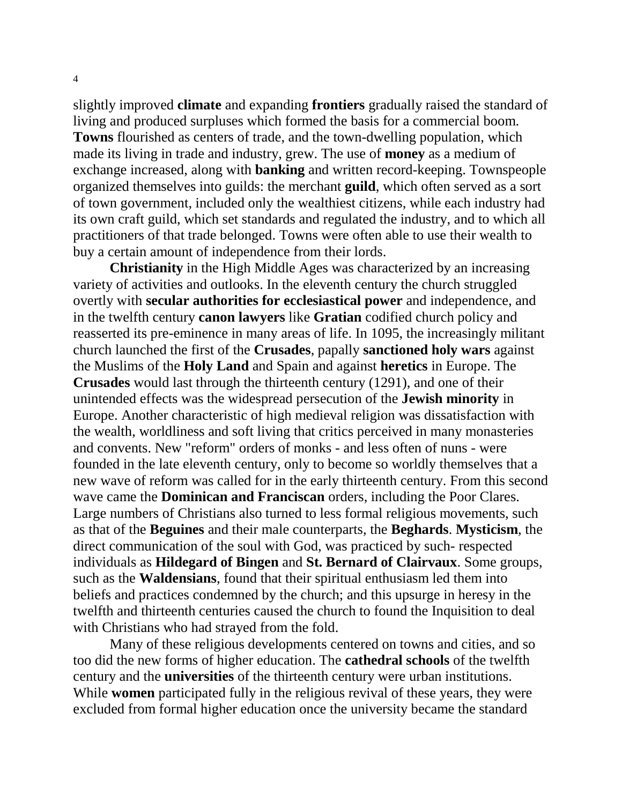slightly improved **climate** and expanding **frontiers** gradually raised the standard of living and produced surpluses which formed the basis for a commercial boom. **Towns** flourished as centers of trade, and the town-dwelling population, which made its living in trade and industry, grew. The use of **money** as a medium of exchange increased, along with **banking** and written record-keeping. Townspeople organized themselves into guilds: the merchant **guild**, which often served as a sort of town government, included only the wealthiest citizens, while each industry had its own craft guild, which set standards and regulated the industry, and to which all practitioners of that trade belonged. Towns were often able to use their wealth to buy a certain amount of independence from their lords.

**Christianity** in the High Middle Ages was characterized by an increasing variety of activities and outlooks. In the eleventh century the church struggled overtly with **secular authorities for ecclesiastical power** and independence, and in the twelfth century **canon lawyers** like **Gratian** codified church policy and reasserted its pre-eminence in many areas of life. In 1095, the increasingly militant church launched the first of the **Crusades**, papally **sanctioned holy wars** against the Muslims of the **Holy Land** and Spain and against **heretics** in Europe. The **Crusades** would last through the thirteenth century (1291), and one of their unintended effects was the widespread persecution of the **Jewish minority** in Europe. Another characteristic of high medieval religion was dissatisfaction with the wealth, worldliness and soft living that critics perceived in many monasteries and convents. New "reform" orders of monks - and less often of nuns - were founded in the late eleventh century, only to become so worldly themselves that a new wave of reform was called for in the early thirteenth century. From this second wave came the **Dominican and Franciscan** orders, including the Poor Clares. Large numbers of Christians also turned to less formal religious movements, such as that of the **Beguines** and their male counterparts, the **Beghards**. **Mysticism**, the direct communication of the soul with God, was practiced by such- respected individuals as **Hildegard of Bingen** and **St. Bernard of Clairvaux**. Some groups, such as the **Waldensians**, found that their spiritual enthusiasm led them into beliefs and practices condemned by the church; and this upsurge in heresy in the twelfth and thirteenth centuries caused the church to found the Inquisition to deal with Christians who had strayed from the fold.

Many of these religious developments centered on towns and cities, and so too did the new forms of higher education. The **cathedral schools** of the twelfth century and the **universities** of the thirteenth century were urban institutions. While **women** participated fully in the religious revival of these years, they were excluded from formal higher education once the university became the standard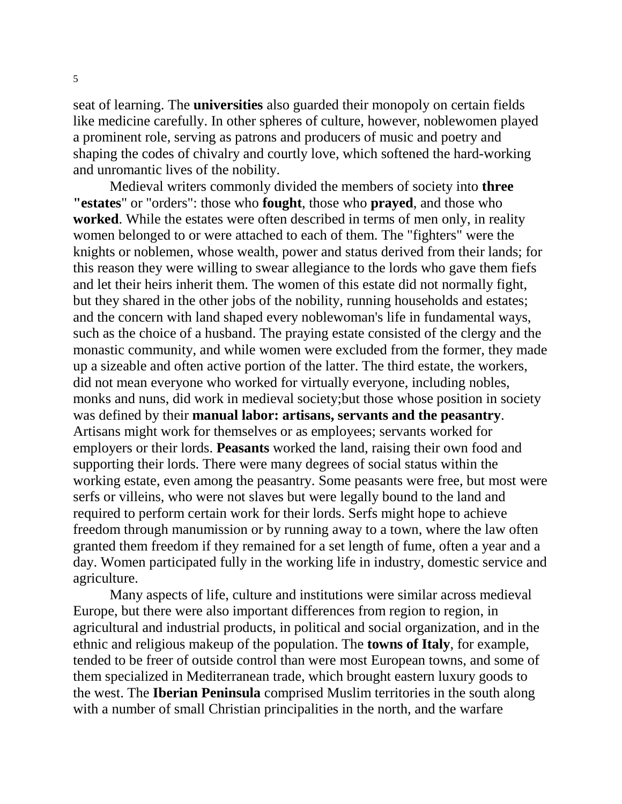seat of learning. The **universities** also guarded their monopoly on certain fields like medicine carefully. In other spheres of culture, however, noblewomen played a prominent role, serving as patrons and producers of music and poetry and shaping the codes of chivalry and courtly love, which softened the hard-working and unromantic lives of the nobility.

Medieval writers commonly divided the members of society into **three "estates**" or "orders": those who **fought**, those who **prayed**, and those who **worked**. While the estates were often described in terms of men only, in reality women belonged to or were attached to each of them. The "fighters" were the knights or noblemen, whose wealth, power and status derived from their lands; for this reason they were willing to swear allegiance to the lords who gave them fiefs and let their heirs inherit them. The women of this estate did not normally fight, but they shared in the other jobs of the nobility, running households and estates; and the concern with land shaped every noblewoman's life in fundamental ways, such as the choice of a husband. The praying estate consisted of the clergy and the monastic community, and while women were excluded from the former, they made up a sizeable and often active portion of the latter. The third estate, the workers, did not mean everyone who worked for virtually everyone, including nobles, monks and nuns, did work in medieval society;but those whose position in society was defined by their **manual labor: artisans, servants and the peasantry**. Artisans might work for themselves or as employees; servants worked for employers or their lords. **Peasants** worked the land, raising their own food and supporting their lords. There were many degrees of social status within the working estate, even among the peasantry. Some peasants were free, but most were serfs or villeins, who were not slaves but were legally bound to the land and required to perform certain work for their lords. Serfs might hope to achieve freedom through manumission or by running away to a town, where the law often granted them freedom if they remained for a set length of fume, often a year and a day. Women participated fully in the working life in industry, domestic service and agriculture.

Many aspects of life, culture and institutions were similar across medieval Europe, but there were also important differences from region to region, in agricultural and industrial products, in political and social organization, and in the ethnic and religious makeup of the population. The **towns of Italy**, for example, tended to be freer of outside control than were most European towns, and some of them specialized in Mediterranean trade, which brought eastern luxury goods to the west. The **Iberian Peninsula** comprised Muslim territories in the south along with a number of small Christian principalities in the north, and the warfare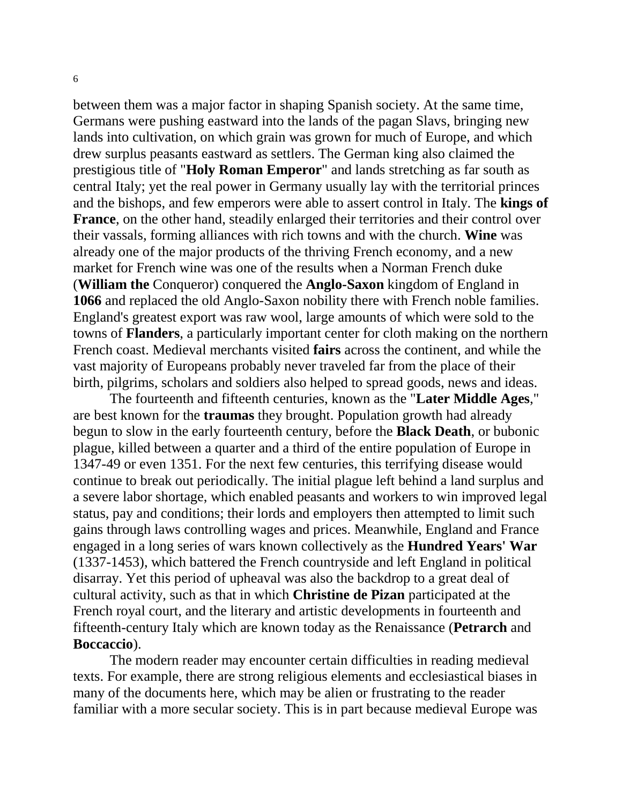between them was a major factor in shaping Spanish society. At the same time, Germans were pushing eastward into the lands of the pagan Slavs, bringing new lands into cultivation, on which grain was grown for much of Europe, and which drew surplus peasants eastward as settlers. The German king also claimed the prestigious title of "**Holy Roman Emperor**" and lands stretching as far south as central Italy; yet the real power in Germany usually lay with the territorial princes and the bishops, and few emperors were able to assert control in Italy. The **kings of France**, on the other hand, steadily enlarged their territories and their control over their vassals, forming alliances with rich towns and with the church. **Wine** was already one of the major products of the thriving French economy, and a new market for French wine was one of the results when a Norman French duke (**William the** Conqueror) conquered the **Anglo-Saxon** kingdom of England in **1066** and replaced the old Anglo-Saxon nobility there with French noble families. England's greatest export was raw wool, large amounts of which were sold to the towns of **Flanders**, a particularly important center for cloth making on the northern French coast. Medieval merchants visited **fairs** across the continent, and while the vast majority of Europeans probably never traveled far from the place of their birth, pilgrims, scholars and soldiers also helped to spread goods, news and ideas.

The fourteenth and fifteenth centuries, known as the "**Later Middle Ages**," are best known for the **traumas** they brought. Population growth had already begun to slow in the early fourteenth century, before the **Black Death**, or bubonic plague, killed between a quarter and a third of the entire population of Europe in 1347-49 or even 1351. For the next few centuries, this terrifying disease would continue to break out periodically. The initial plague left behind a land surplus and a severe labor shortage, which enabled peasants and workers to win improved legal status, pay and conditions; their lords and employers then attempted to limit such gains through laws controlling wages and prices. Meanwhile, England and France engaged in a long series of wars known collectively as the **Hundred Years' War** (1337-1453), which battered the French countryside and left England in political disarray. Yet this period of upheaval was also the backdrop to a great deal of cultural activity, such as that in which **Christine de Pizan** participated at the French royal court, and the literary and artistic developments in fourteenth and fifteenth-century Italy which are known today as the Renaissance (**Petrarch** and **Boccaccio**).

The modern reader may encounter certain difficulties in reading medieval texts. For example, there are strong religious elements and ecclesiastical biases in many of the documents here, which may be alien or frustrating to the reader familiar with a more secular society. This is in part because medieval Europe was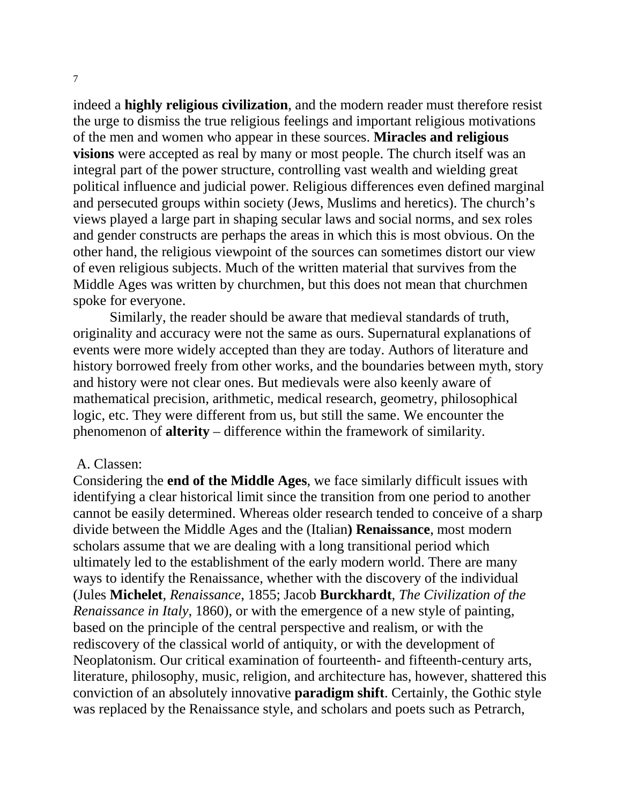indeed a **highly religious civilization**, and the modern reader must therefore resist the urge to dismiss the true religious feelings and important religious motivations of the men and women who appear in these sources. **Miracles and religious visions** were accepted as real by many or most people. The church itself was an integral part of the power structure, controlling vast wealth and wielding great political influence and judicial power. Religious differences even defined marginal and persecuted groups within society (Jews, Muslims and heretics). The church's views played a large part in shaping secular laws and social norms, and sex roles and gender constructs are perhaps the areas in which this is most obvious. On the other hand, the religious viewpoint of the sources can sometimes distort our view of even religious subjects. Much of the written material that survives from the Middle Ages was written by churchmen, but this does not mean that churchmen spoke for everyone.

Similarly, the reader should be aware that medieval standards of truth, originality and accuracy were not the same as ours. Supernatural explanations of events were more widely accepted than they are today. Authors of literature and history borrowed freely from other works, and the boundaries between myth, story and history were not clear ones. But medievals were also keenly aware of mathematical precision, arithmetic, medical research, geometry, philosophical logic, etc. They were different from us, but still the same. We encounter the phenomenon of **alterity** – difference within the framework of similarity.

#### A. Classen:

Considering the **end of the Middle Ages**, we face similarly difficult issues with identifying a clear historical limit since the transition from one period to another cannot be easily determined. Whereas older research tended to conceive of a sharp divide between the Middle Ages and the (Italian**) Renaissance**, most modern scholars assume that we are dealing with a long transitional period which ultimately led to the establishment of the early modern world. There are many ways to identify the Renaissance, whether with the discovery of the individual (Jules **Michelet**, *Renaissance*, 1855; Jacob **Burckhardt**, *The Civilization of the Renaissance in Italy*, 1860), or with the emergence of a new style of painting, based on the principle of the central perspective and realism, or with the rediscovery of the classical world of antiquity, or with the development of Neoplatonism. Our critical examination of fourteenth- and fifteenth-century arts, literature, philosophy, music, religion, and architecture has, however, shattered this conviction of an absolutely innovative **paradigm shift**. Certainly, the Gothic style was replaced by the Renaissance style, and scholars and poets such as Petrarch,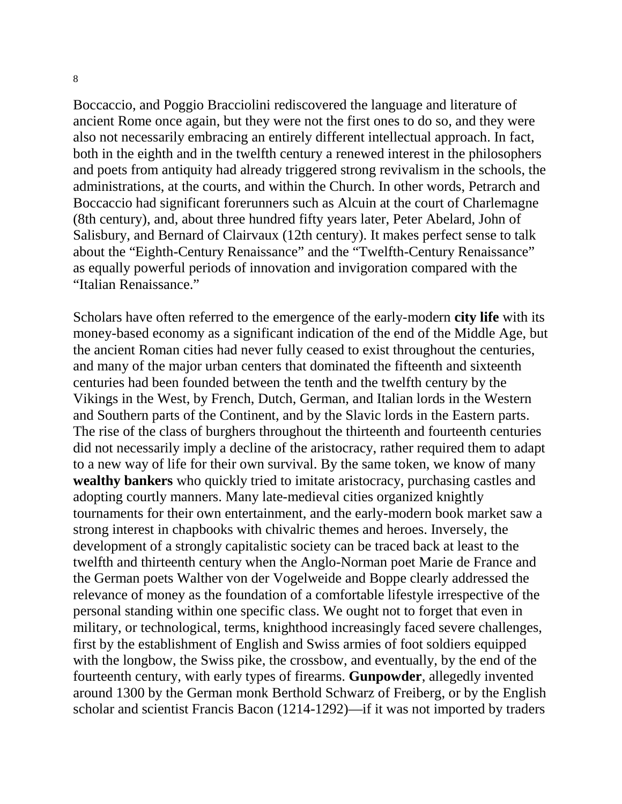Boccaccio, and Poggio Bracciolini rediscovered the language and literature of ancient Rome once again, but they were not the first ones to do so, and they were also not necessarily embracing an entirely different intellectual approach. In fact, both in the eighth and in the twelfth century a renewed interest in the philosophers and poets from antiquity had already triggered strong revivalism in the schools, the administrations, at the courts, and within the Church. In other words, Petrarch and Boccaccio had significant forerunners such as Alcuin at the court of Charlemagne (8th century), and, about three hundred fifty years later, Peter Abelard, John of Salisbury, and Bernard of Clairvaux (12th century). It makes perfect sense to talk about the "Eighth-Century Renaissance" and the "Twelfth-Century Renaissance" as equally powerful periods of innovation and invigoration compared with the "Italian Renaissance."

Scholars have often referred to the emergence of the early-modern **city life** with its money-based economy as a significant indication of the end of the Middle Age, but the ancient Roman cities had never fully ceased to exist throughout the centuries, and many of the major urban centers that dominated the fifteenth and sixteenth centuries had been founded between the tenth and the twelfth century by the Vikings in the West, by French, Dutch, German, and Italian lords in the Western and Southern parts of the Continent, and by the Slavic lords in the Eastern parts. The rise of the class of burghers throughout the thirteenth and fourteenth centuries did not necessarily imply a decline of the aristocracy, rather required them to adapt to a new way of life for their own survival. By the same token, we know of many **wealthy bankers** who quickly tried to imitate aristocracy, purchasing castles and adopting courtly manners. Many late-medieval cities organized knightly tournaments for their own entertainment, and the early-modern book market saw a strong interest in chapbooks with chivalric themes and heroes. Inversely, the development of a strongly capitalistic society can be traced back at least to the twelfth and thirteenth century when the Anglo-Norman poet Marie de France and the German poets Walther von der Vogelweide and Boppe clearly addressed the relevance of money as the foundation of a comfortable lifestyle irrespective of the personal standing within one specific class. We ought not to forget that even in military, or technological, terms, knighthood increasingly faced severe challenges, first by the establishment of English and Swiss armies of foot soldiers equipped with the longbow, the Swiss pike, the crossbow, and eventually, by the end of the fourteenth century, with early types of firearms. **Gunpowder**, allegedly invented around 1300 by the German monk Berthold Schwarz of Freiberg, or by the English scholar and scientist Francis Bacon (1214-1292)—if it was not imported by traders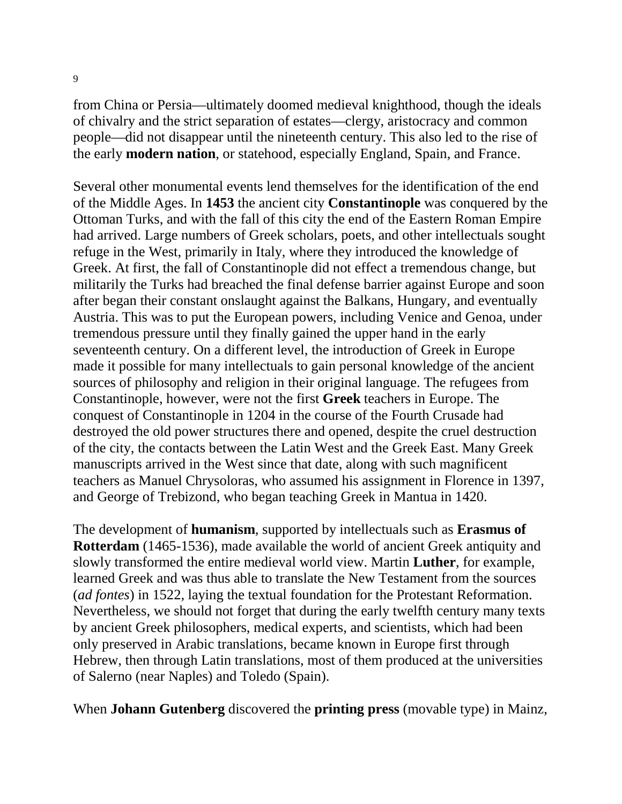from China or Persia—ultimately doomed medieval knighthood, though the ideals of chivalry and the strict separation of estates—clergy, aristocracy and common people—did not disappear until the nineteenth century. This also led to the rise of the early **modern nation**, or statehood, especially England, Spain, and France.

Several other monumental events lend themselves for the identification of the end of the Middle Ages. In **1453** the ancient city **Constantinople** was conquered by the Ottoman Turks, and with the fall of this city the end of the Eastern Roman Empire had arrived. Large numbers of Greek scholars, poets, and other intellectuals sought refuge in the West, primarily in Italy, where they introduced the knowledge of Greek. At first, the fall of Constantinople did not effect a tremendous change, but militarily the Turks had breached the final defense barrier against Europe and soon after began their constant onslaught against the Balkans, Hungary, and eventually Austria. This was to put the European powers, including Venice and Genoa, under tremendous pressure until they finally gained the upper hand in the early seventeenth century. On a different level, the introduction of Greek in Europe made it possible for many intellectuals to gain personal knowledge of the ancient sources of philosophy and religion in their original language. The refugees from Constantinople, however, were not the first **Greek** teachers in Europe. The conquest of Constantinople in 1204 in the course of the Fourth Crusade had destroyed the old power structures there and opened, despite the cruel destruction of the city, the contacts between the Latin West and the Greek East. Many Greek manuscripts arrived in the West since that date, along with such magnificent teachers as Manuel Chrysoloras, who assumed his assignment in Florence in 1397, and George of Trebizond, who began teaching Greek in Mantua in 1420.

The development of **humanism**, supported by intellectuals such as **Erasmus of Rotterdam** (1465-1536), made available the world of ancient Greek antiquity and slowly transformed the entire medieval world view. Martin **Luther**, for example, learned Greek and was thus able to translate the New Testament from the sources (*ad fontes*) in 1522, laying the textual foundation for the Protestant Reformation. Nevertheless, we should not forget that during the early twelfth century many texts by ancient Greek philosophers, medical experts, and scientists, which had been only preserved in Arabic translations, became known in Europe first through Hebrew, then through Latin translations, most of them produced at the universities of Salerno (near Naples) and Toledo (Spain).

When **Johann Gutenberg** discovered the **printing press** (movable type) in Mainz,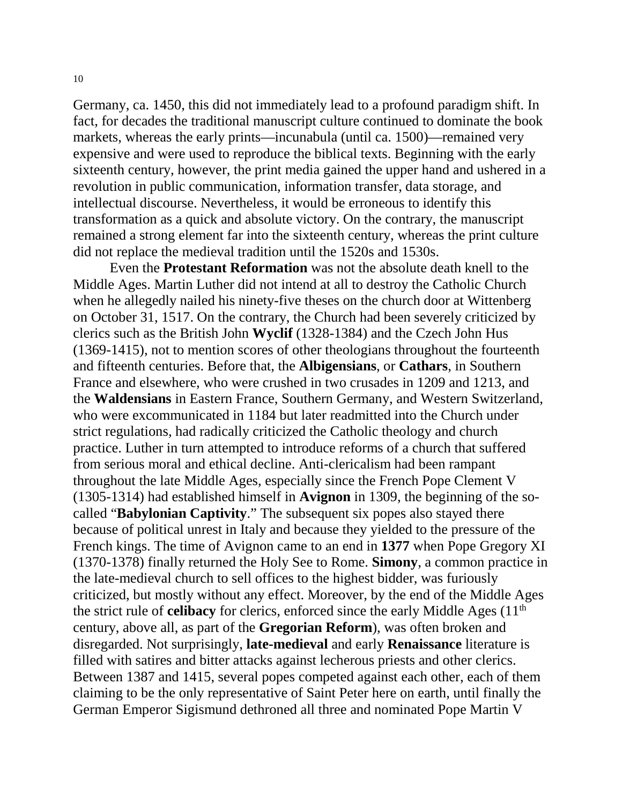Germany, ca. 1450, this did not immediately lead to a profound paradigm shift. In fact, for decades the traditional manuscript culture continued to dominate the book markets, whereas the early prints—incunabula (until ca. 1500)—remained very expensive and were used to reproduce the biblical texts. Beginning with the early sixteenth century, however, the print media gained the upper hand and ushered in a revolution in public communication, information transfer, data storage, and intellectual discourse. Nevertheless, it would be erroneous to identify this transformation as a quick and absolute victory. On the contrary, the manuscript remained a strong element far into the sixteenth century, whereas the print culture did not replace the medieval tradition until the 1520s and 1530s.

Even the **Protestant Reformation** was not the absolute death knell to the Middle Ages. Martin Luther did not intend at all to destroy the Catholic Church when he allegedly nailed his ninety-five theses on the church door at Wittenberg on October 31, 1517. On the contrary, the Church had been severely criticized by clerics such as the British John **Wyclif** (1328-1384) and the Czech John Hus (1369-1415), not to mention scores of other theologians throughout the fourteenth and fifteenth centuries. Before that, the **Albigensians**, or **Cathars**, in Southern France and elsewhere, who were crushed in two crusades in 1209 and 1213, and the **Waldensians** in Eastern France, Southern Germany, and Western Switzerland, who were excommunicated in 1184 but later readmitted into the Church under strict regulations, had radically criticized the Catholic theology and church practice. Luther in turn attempted to introduce reforms of a church that suffered from serious moral and ethical decline. Anti-clericalism had been rampant throughout the late Middle Ages, especially since the French Pope Clement V (1305-1314) had established himself in **Avignon** in 1309, the beginning of the socalled "**Babylonian Captivity**." The subsequent six popes also stayed there because of political unrest in Italy and because they yielded to the pressure of the French kings. The time of Avignon came to an end in **1377** when Pope Gregory XI (1370-1378) finally returned the Holy See to Rome. **Simony**, a common practice in the late-medieval church to sell offices to the highest bidder, was furiously criticized, but mostly without any effect. Moreover, by the end of the Middle Ages the strict rule of **celibacy** for clerics, enforced since the early Middle Ages (11<sup>th</sup>) century, above all, as part of the **Gregorian Reform**), was often broken and disregarded. Not surprisingly, **late-medieval** and early **Renaissance** literature is filled with satires and bitter attacks against lecherous priests and other clerics. Between 1387 and 1415, several popes competed against each other, each of them claiming to be the only representative of Saint Peter here on earth, until finally the German Emperor Sigismund dethroned all three and nominated Pope Martin V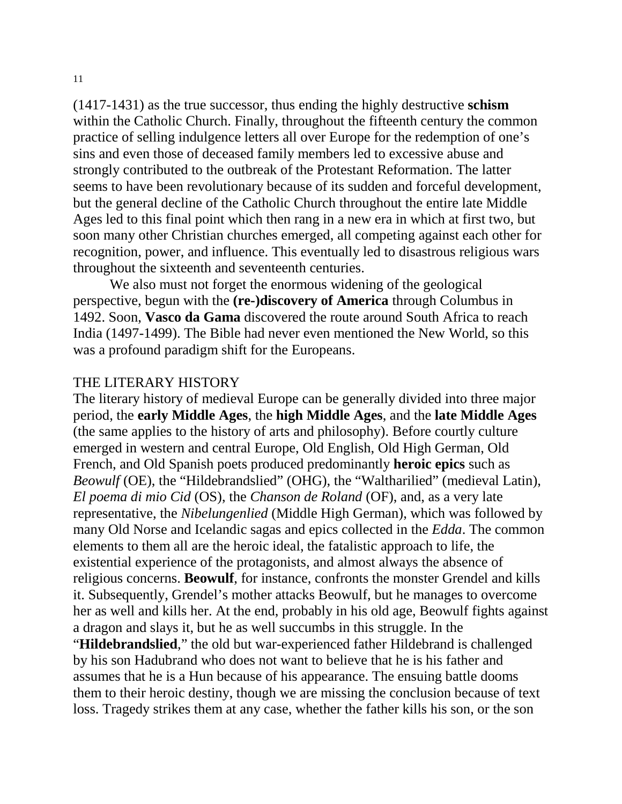(1417-1431) as the true successor, thus ending the highly destructive **schism** within the Catholic Church. Finally, throughout the fifteenth century the common practice of selling indulgence letters all over Europe for the redemption of one's sins and even those of deceased family members led to excessive abuse and strongly contributed to the outbreak of the Protestant Reformation. The latter seems to have been revolutionary because of its sudden and forceful development, but the general decline of the Catholic Church throughout the entire late Middle Ages led to this final point which then rang in a new era in which at first two, but soon many other Christian churches emerged, all competing against each other for recognition, power, and influence. This eventually led to disastrous religious wars throughout the sixteenth and seventeenth centuries.

We also must not forget the enormous widening of the geological perspective, begun with the **(re-)discovery of America** through Columbus in 1492. Soon, **Vasco da Gama** discovered the route around South Africa to reach India (1497-1499). The Bible had never even mentioned the New World, so this was a profound paradigm shift for the Europeans.

#### THE LITERARY HISTORY

The literary history of medieval Europe can be generally divided into three major period, the **early Middle Ages**, the **high Middle Ages**, and the **late Middle Ages** (the same applies to the history of arts and philosophy). Before courtly culture emerged in western and central Europe, Old English, Old High German, Old French, and Old Spanish poets produced predominantly **heroic epics** such as *Beowulf* (OE), the "Hildebrandslied" (OHG), the "Waltharilied" (medieval Latin), *El poema di mio Cid* (OS), the *Chanson de Roland* (OF), and, as a very late representative, the *Nibelungenlied* (Middle High German), which was followed by many Old Norse and Icelandic sagas and epics collected in the *Edda*. The common elements to them all are the heroic ideal, the fatalistic approach to life, the existential experience of the protagonists, and almost always the absence of religious concerns. **Beowulf**, for instance, confronts the monster Grendel and kills it. Subsequently, Grendel's mother attacks Beowulf, but he manages to overcome her as well and kills her. At the end, probably in his old age, Beowulf fights against a dragon and slays it, but he as well succumbs in this struggle. In the "**Hildebrandslied**," the old but war-experienced father Hildebrand is challenged by his son Hadubrand who does not want to believe that he is his father and assumes that he is a Hun because of his appearance. The ensuing battle dooms them to their heroic destiny, though we are missing the conclusion because of text loss. Tragedy strikes them at any case, whether the father kills his son, or the son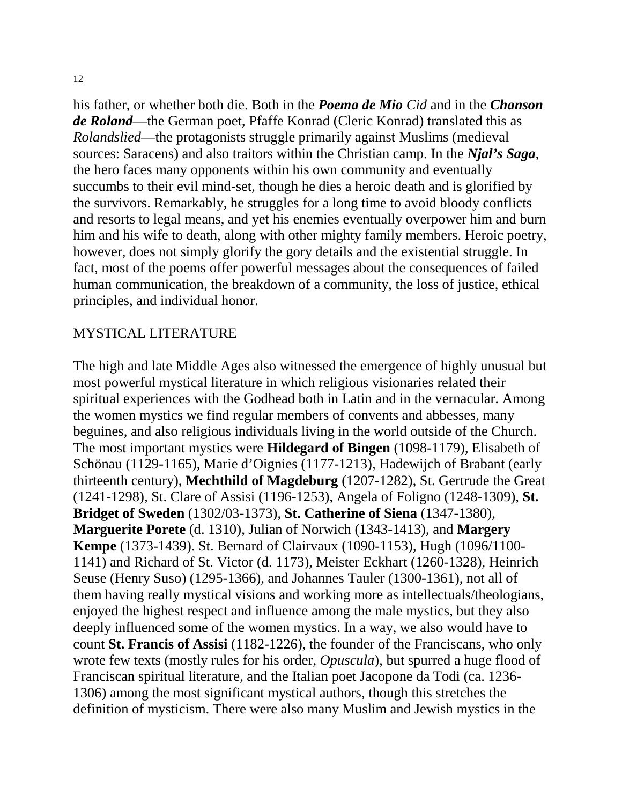his father, or whether both die. Both in the *Poema de Mio Cid* and in the *Chanson de Roland*—the German poet, Pfaffe Konrad (Cleric Konrad) translated this as *Rolandslied*—the protagonists struggle primarily against Muslims (medieval sources: Saracens) and also traitors within the Christian camp. In the *Njal's Saga*, the hero faces many opponents within his own community and eventually succumbs to their evil mind-set, though he dies a heroic death and is glorified by the survivors. Remarkably, he struggles for a long time to avoid bloody conflicts and resorts to legal means, and yet his enemies eventually overpower him and burn him and his wife to death, along with other mighty family members. Heroic poetry, however, does not simply glorify the gory details and the existential struggle. In fact, most of the poems offer powerful messages about the consequences of failed human communication, the breakdown of a community, the loss of justice, ethical principles, and individual honor.

# MYSTICAL LITERATURE

The high and late Middle Ages also witnessed the emergence of highly unusual but most powerful mystical literature in which religious visionaries related their spiritual experiences with the Godhead both in Latin and in the vernacular. Among the women mystics we find regular members of convents and abbesses, many beguines, and also religious individuals living in the world outside of the Church. The most important mystics were **Hildegard of Bingen** (1098-1179), Elisabeth of Schönau (1129-1165), Marie d'Oignies (1177-1213), Hadewijch of Brabant (early thirteenth century), **Mechthild of Magdeburg** (1207-1282), St. Gertrude the Great (1241-1298), St. Clare of Assisi (1196-1253), Angela of Foligno (1248-1309), **St. Bridget of Sweden** (1302/03-1373), **St. Catherine of Siena** (1347-1380), **Marguerite Porete** (d. 1310), Julian of Norwich (1343-1413), and **Margery Kempe** (1373-1439). St. Bernard of Clairvaux (1090-1153), Hugh (1096/1100- 1141) and Richard of St. Victor (d. 1173), Meister Eckhart (1260-1328), Heinrich Seuse (Henry Suso) (1295-1366), and Johannes Tauler (1300-1361), not all of them having really mystical visions and working more as intellectuals/theologians, enjoyed the highest respect and influence among the male mystics, but they also deeply influenced some of the women mystics. In a way, we also would have to count **St. Francis of Assisi** (1182-1226), the founder of the Franciscans, who only wrote few texts (mostly rules for his order, *Opuscula*), but spurred a huge flood of Franciscan spiritual literature, and the Italian poet Jacopone da Todi (ca. 1236- 1306) among the most significant mystical authors, though this stretches the definition of mysticism. There were also many Muslim and Jewish mystics in the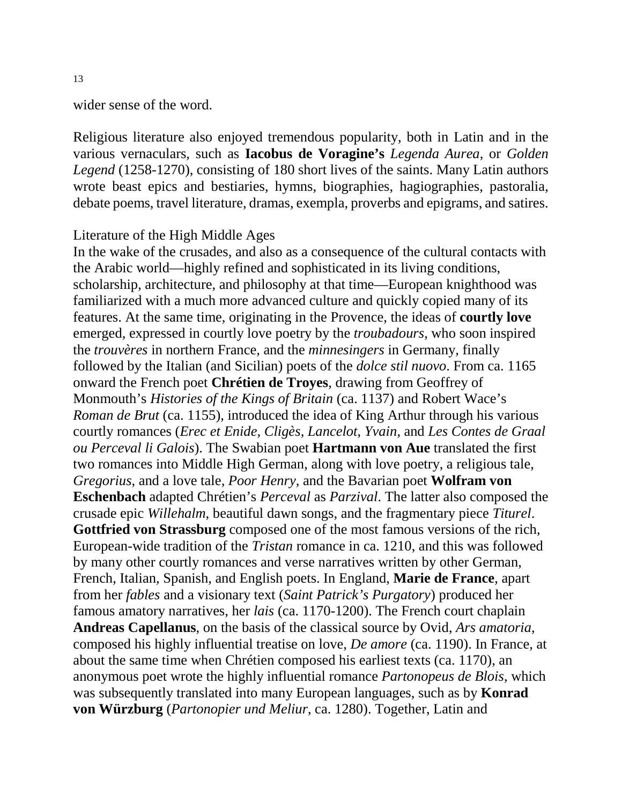#### wider sense of the word.

Religious literature also enjoyed tremendous popularity, both in Latin and in the various vernaculars, such as **Iacobus de Voragine's** *Legenda Aurea*, or *Golden Legend* (1258-1270), consisting of 180 short lives of the saints. Many Latin authors wrote beast epics and bestiaries, hymns, biographies, hagiographies, pastoralia, debate poems, travel literature, dramas, exempla, proverbs and epigrams, and satires.

### Literature of the High Middle Ages

In the wake of the crusades, and also as a consequence of the cultural contacts with the Arabic world—highly refined and sophisticated in its living conditions, scholarship, architecture, and philosophy at that time—European knighthood was familiarized with a much more advanced culture and quickly copied many of its features. At the same time, originating in the Provence, the ideas of **courtly love** emerged, expressed in courtly love poetry by the *troubadours*, who soon inspired the *trouvères* in northern France, and the *minnesingers* in Germany, finally followed by the Italian (and Sicilian) poets of the *dolce stil nuovo*. From ca. 1165 onward the French poet **Chrétien de Troyes**, drawing from Geoffrey of Monmouth's *Histories of the Kings of Britain* (ca. 1137) and Robert Wace's *Roman de Brut* (ca. 1155), introduced the idea of King Arthur through his various courtly romances (*Erec et Enide*, *Cligès*, *Lancelot*, *Yvain*, and *Les Contes de Graal ou Perceval li Galois*). The Swabian poet **Hartmann von Aue** translated the first two romances into Middle High German, along with love poetry, a religious tale, *Gregorius*, and a love tale, *Poor Henry*, and the Bavarian poet **Wolfram von Eschenbach** adapted Chrétien's *Perceval* as *Parzival*. The latter also composed the crusade epic *Willehalm*, beautiful dawn songs, and the fragmentary piece *Titurel*. **Gottfried von Strassburg** composed one of the most famous versions of the rich, European-wide tradition of the *Tristan* romance in ca. 1210, and this was followed by many other courtly romances and verse narratives written by other German, French, Italian, Spanish, and English poets. In England, **Marie de France**, apart from her *fables* and a visionary text (*Saint Patrick's Purgatory*) produced her famous amatory narratives, her *lais* (ca. 1170-1200). The French court chaplain **Andreas Capellanus**, on the basis of the classical source by Ovid, *Ars amatoria*, composed his highly influential treatise on love, *De amore* (ca. 1190). In France, at about the same time when Chrétien composed his earliest texts (ca. 1170), an anonymous poet wrote the highly influential romance *Partonopeus de Blois*, which was subsequently translated into many European languages, such as by **Konrad von Würzburg** (*Partonopier und Meliur*, ca. 1280). Together, Latin and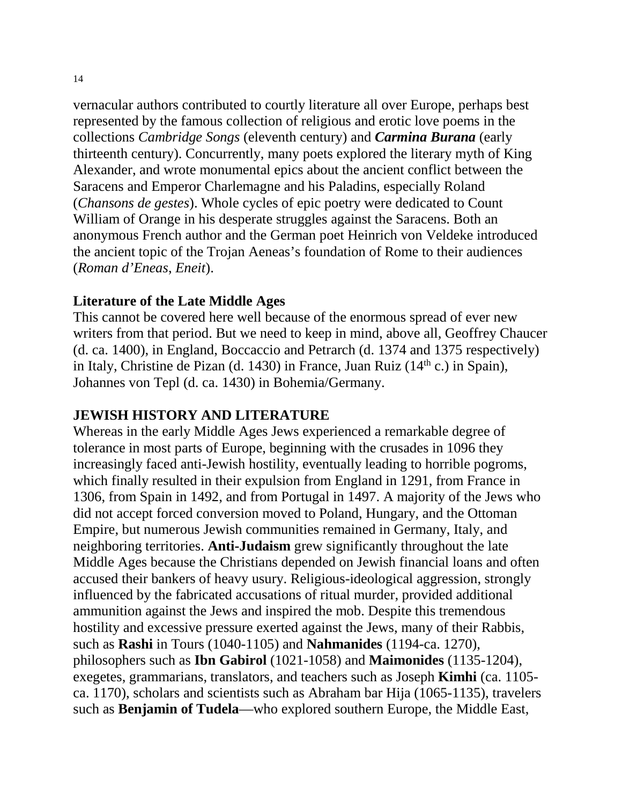vernacular authors contributed to courtly literature all over Europe, perhaps best represented by the famous collection of religious and erotic love poems in the collections *Cambridge Songs* (eleventh century) and *Carmina Burana* (early thirteenth century). Concurrently, many poets explored the literary myth of King Alexander, and wrote monumental epics about the ancient conflict between the Saracens and Emperor Charlemagne and his Paladins, especially Roland (*Chansons de gestes*). Whole cycles of epic poetry were dedicated to Count William of Orange in his desperate struggles against the Saracens. Both an anonymous French author and the German poet Heinrich von Veldeke introduced the ancient topic of the Trojan Aeneas's foundation of Rome to their audiences (*Roman d'Eneas*, *Eneit*).

# **Literature of the Late Middle Ages**

This cannot be covered here well because of the enormous spread of ever new writers from that period. But we need to keep in mind, above all, Geoffrey Chaucer (d. ca. 1400), in England, Boccaccio and Petrarch (d. 1374 and 1375 respectively) in Italy, Christine de Pizan (d. 1430) in France, Juan Ruiz (14<sup>th</sup> c.) in Spain), Johannes von Tepl (d. ca. 1430) in Bohemia/Germany.

### **JEWISH HISTORY AND LITERATURE**

Whereas in the early Middle Ages Jews experienced a remarkable degree of tolerance in most parts of Europe, beginning with the crusades in 1096 they increasingly faced anti-Jewish hostility, eventually leading to horrible pogroms, which finally resulted in their expulsion from England in 1291, from France in 1306, from Spain in 1492, and from Portugal in 1497. A majority of the Jews who did not accept forced conversion moved to Poland, Hungary, and the Ottoman Empire, but numerous Jewish communities remained in Germany, Italy, and neighboring territories. **Anti-Judaism** grew significantly throughout the late Middle Ages because the Christians depended on Jewish financial loans and often accused their bankers of heavy usury. Religious-ideological aggression, strongly influenced by the fabricated accusations of ritual murder, provided additional ammunition against the Jews and inspired the mob. Despite this tremendous hostility and excessive pressure exerted against the Jews, many of their Rabbis, such as **Rashi** in Tours (1040-1105) and **Nahmanides** (1194-ca. 1270), philosophers such as **Ibn Gabirol** (1021-1058) and **Maimonides** (1135-1204), exegetes, grammarians, translators, and teachers such as Joseph **Kimhi** (ca. 1105 ca. 1170), scholars and scientists such as Abraham bar Hija (1065-1135), travelers such as **Benjamin of Tudela**—who explored southern Europe, the Middle East,